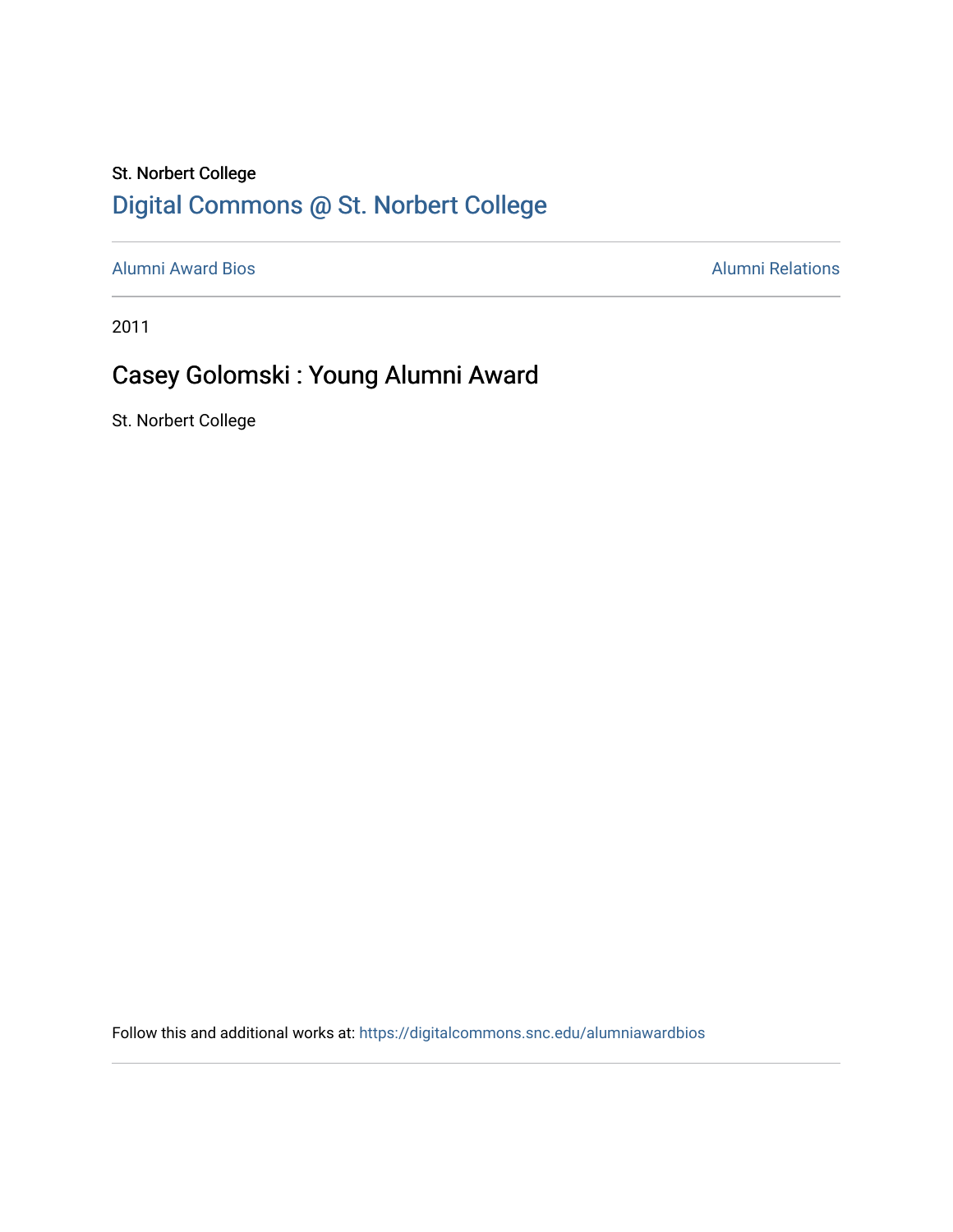### St. Norbert College [Digital Commons @ St. Norbert College](https://digitalcommons.snc.edu/)

[Alumni Award Bios](https://digitalcommons.snc.edu/alumniawardbios) **Alumni Relations** Alumni Relations

2011

## Casey Golomski : Young Alumni Award

St. Norbert College

Follow this and additional works at: [https://digitalcommons.snc.edu/alumniawardbios](https://digitalcommons.snc.edu/alumniawardbios?utm_source=digitalcommons.snc.edu%2Falumniawardbios%2F60&utm_medium=PDF&utm_campaign=PDFCoverPages)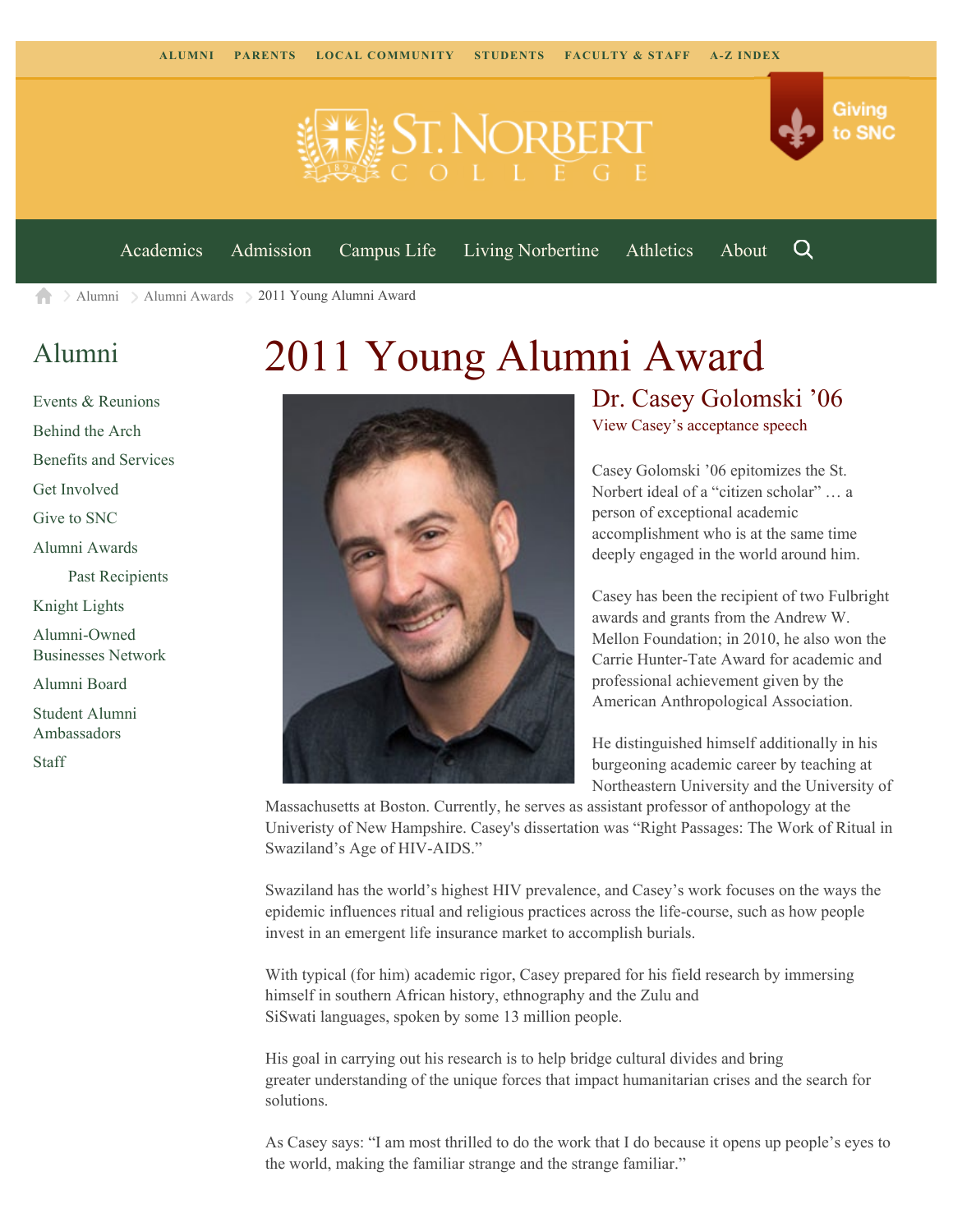



[Academics](https://www.snc.edu/academics) [Admission](https://www.snc.edu/admission) [Campus Life](https://www.snc.edu/campuslife) [Living Norbertine](https://www.snc.edu/livingnorbertine) [Athletics](https://www.snc.edu/athletics) [About](https://www.snc.edu/about)

Q

Giving

to SNC

[Alumni](https://www.snc.edu/alumni/) [Alumni Awards](https://www.snc.edu/alumni/awards/) 2011 Young Alumni Award A

### [Alumni](https://www.snc.edu/alumni/index.html)

#### [Events & Reunions](https://www.snc.edu/alumni/event/index.html) [Behind the Arch](https://www.snc.edu/alumni/event/behindthearch/) [Benefits and Services](https://www.snc.edu/alumni/benefits.html) [Get Involved](https://www.snc.edu/alumni/getinvolved.html) [Give to SNC](http://giving.snc.edu/) [Alumni Awards](https://www.snc.edu/alumni/awards/index.html) [Past Recipients](https://www.snc.edu/alumni/awards/recipients.html) [Knight Lights](https://www.snc.edu/alumni/knightlights/index.html) [Alumni-Owned](https://www.snc.edu/alumni/directory/index.html) [Businesses Network](https://www.snc.edu/alumni/directory/index.html) [Alumni Board](https://www.snc.edu/alumni/alumniboard.html) [Student Alumni](https://www.snc.edu/alumni/saa.html) [Ambassadors](https://www.snc.edu/alumni/saa.html) [Staff](https://www.snc.edu/alumni/contactus.html)

# 2011 Young Alumni Award



#### Dr. Casey Golomski '06 [View Casey's acceptance speech](http://www.youtube.com/watch?v=K5DETm291ZE)

Casey Golomski '06 epitomizes the St. Norbert ideal of a "citizen scholar" … a person of exceptional academic accomplishment who is at the same time deeply engaged in the world around him.

Casey has been the recipient of two Fulbright awards and grants from the Andrew W. Mellon Foundation; in 2010, he also won the Carrie Hunter-Tate Award for academic and professional achievement given by the American Anthropological Association.

He distinguished himself additionally in his burgeoning academic career by teaching at Northeastern University and the University of

Massachusetts at Boston. Currently, he serves as assistant professor of anthopology at the Univeristy of New Hampshire. Casey's dissertation was "Right Passages: The Work of Ritual in Swaziland's Age of HIV-AIDS."

Swaziland has the world's highest HIV prevalence, and Casey's work focuses on the ways the epidemic influences ritual and religious practices across the life-course, such as how people invest in an emergent life insurance market to accomplish burials.

With typical (for him) academic rigor, Casey prepared for his field research by immersing himself in southern African history, ethnography and the Zulu and SiSwati languages, spoken by some 13 million people.

His goal in carrying out his research is to help bridge cultural divides and bring greater understanding of the unique forces that impact humanitarian crises and the search for solutions.

As Casey says: "I am most thrilled to do the work that I do because it opens up people's eyes to the world, making the familiar strange and the strange familiar."